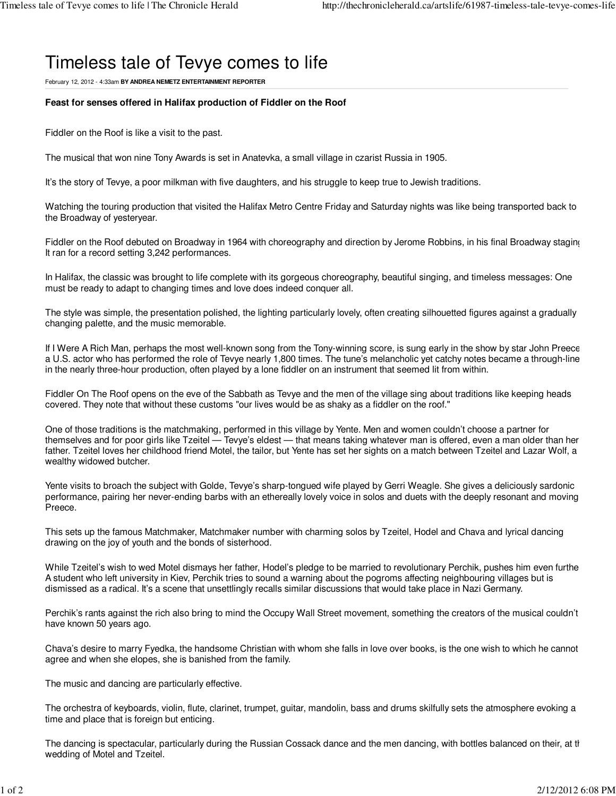## Timeless tale of Tevye comes to life

February 12, 2012 - 4:33am **BY ANDREA NEMETZ ENTERTAINMENT REPORTER**

## **Feast for senses offered in Halifax production of Fiddler on the Roof**

Fiddler on the Roof is like a visit to the past.

The musical that won nine Tony Awards is set in Anatevka, a small village in czarist Russia in 1905.

It's the story of Tevye, a poor milkman with five daughters, and his struggle to keep true to Jewish traditions.

Watching the touring production that visited the Halifax Metro Centre Friday and Saturday nights was like being transported back to the Broadway of yesteryear.

Fiddler on the Roof debuted on Broadway in 1964 with choreography and direction by Jerome Robbins, in his final Broadway staging It ran for a record setting 3,242 performances.

In Halifax, the classic was brought to life complete with its gorgeous choreography, beautiful singing, and timeless messages: One must be ready to adapt to changing times and love does indeed conquer all.

The style was simple, the presentation polished, the lighting particularly lovely, often creating silhouetted figures against a gradually changing palette, and the music memorable.

If I Were A Rich Man, perhaps the most well-known song from the Tony-winning score, is sung early in the show by star John Preece a U.S. actor who has performed the role of Tevye nearly 1,800 times. The tune's melancholic yet catchy notes became a through-line in the nearly three-hour production, often played by a lone fiddler on an instrument that seemed lit from within.

Fiddler On The Roof opens on the eve of the Sabbath as Tevye and the men of the village sing about traditions like keeping heads covered. They note that without these customs "our lives would be as shaky as a fiddler on the roof."

One of those traditions is the matchmaking, performed in this village by Yente. Men and women couldn't choose a partner for themselves and for poor girls like Tzeitel — Tevye's eldest — that means taking whatever man is offered, even a man older than her father. Tzeitel loves her childhood friend Motel, the tailor, but Yente has set her sights on a match between Tzeitel and Lazar Wolf, a wealthy widowed butcher.

Yente visits to broach the subject with Golde, Tevye's sharp-tongued wife played by Gerri Weagle. She gives a deliciously sardonic performance, pairing her never-ending barbs with an ethereally lovely voice in solos and duets with the deeply resonant and moving Preece.

This sets up the famous Matchmaker, Matchmaker number with charming solos by Tzeitel, Hodel and Chava and lyrical dancing drawing on the joy of youth and the bonds of sisterhood.

While Tzeitel's wish to wed Motel dismays her father, Hodel's pledge to be married to revolutionary Perchik, pushes him even furthe A student who left university in Kiev, Perchik tries to sound a warning about the pogroms affecting neighbouring villages but is dismissed as a radical. It's a scene that unsettlingly recalls similar discussions that would take place in Nazi Germany.

Perchik's rants against the rich also bring to mind the Occupy Wall Street movement, something the creators of the musical couldn't have known 50 years ago.

Chava's desire to marry Fyedka, the handsome Christian with whom she falls in love over books, is the one wish to which he cannot agree and when she elopes, she is banished from the family.

The music and dancing are particularly effective.

The orchestra of keyboards, violin, flute, clarinet, trumpet, guitar, mandolin, bass and drums skilfully sets the atmosphere evoking a time and place that is foreign but enticing.

The dancing is spectacular, particularly during the Russian Cossack dance and the men dancing, with bottles balanced on their, at the wedding of Motel and Tzeitel.